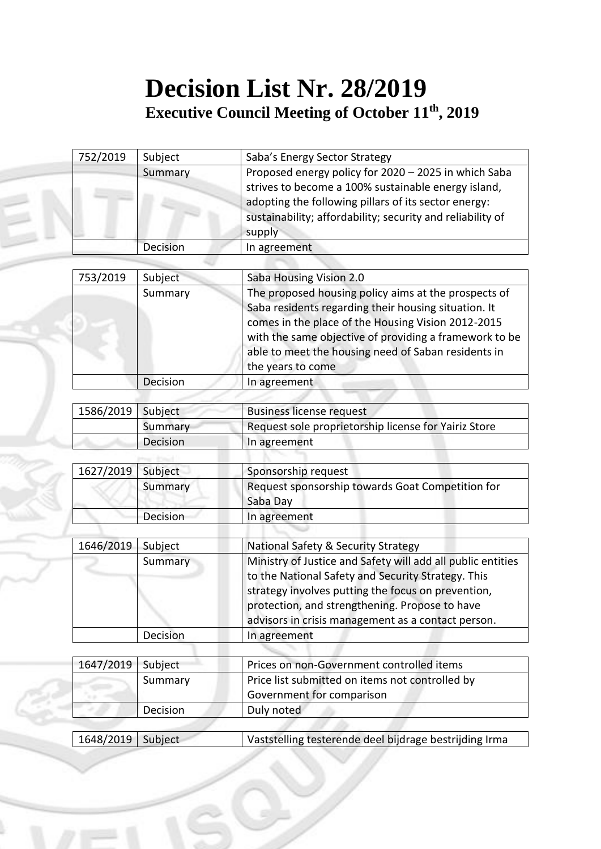## **Decision List Nr. 28/2019 Executive Council Meeting of October 11 th, 2019**

| 752/2019  | Subject  | Saba's Energy Sector Strategy                               |
|-----------|----------|-------------------------------------------------------------|
|           | Summary  | Proposed energy policy for 2020 - 2025 in which Saba        |
|           |          | strives to become a 100% sustainable energy island,         |
|           |          | adopting the following pillars of its sector energy:        |
|           |          | sustainability; affordability; security and reliability of  |
|           |          | supply                                                      |
|           | Decision | In agreement                                                |
|           |          |                                                             |
| 753/2019  | Subject  | Saba Housing Vision 2.0                                     |
|           | Summary  | The proposed housing policy aims at the prospects of        |
|           |          | Saba residents regarding their housing situation. It        |
|           |          | comes in the place of the Housing Vision 2012-2015          |
|           |          | with the same objective of providing a framework to be      |
|           |          | able to meet the housing need of Saban residents in         |
|           |          | the years to come                                           |
|           | Decision | In agreement                                                |
|           |          |                                                             |
| 1586/2019 | Subject  | <b>Business license request</b>                             |
|           | Summary  | Request sole proprietorship license for Yairiz Store        |
|           | Decision | In agreement                                                |
| 1627/2019 | Subject  | Sponsorship request                                         |
|           | Summary  | Request sponsorship towards Goat Competition for            |
|           |          | Saba Day                                                    |
|           | Decision | In agreement                                                |
|           |          |                                                             |
| 1646/2019 | Subject  | National Safety & Security Strategy                         |
|           | Summary  | Ministry of Justice and Safety will add all public entities |
|           |          | to the National Safety and Security Strategy. This          |
|           |          | strategy involves putting the focus on prevention,          |
|           |          | protection, and strengthening. Propose to have              |
|           |          | advisors in crisis management as a contact person.          |
|           | Decision | In agreement                                                |
|           |          |                                                             |
| 1647/2019 | Subject  | Prices on non-Government controlled items                   |
|           | Summary  | Price list submitted on items not controlled by             |
|           |          | Government for comparison                                   |
|           | Decision | Duly noted                                                  |
|           |          |                                                             |
| 1648/2019 | Subject  | Vaststelling testerende deel bijdrage bestrijding Irma      |